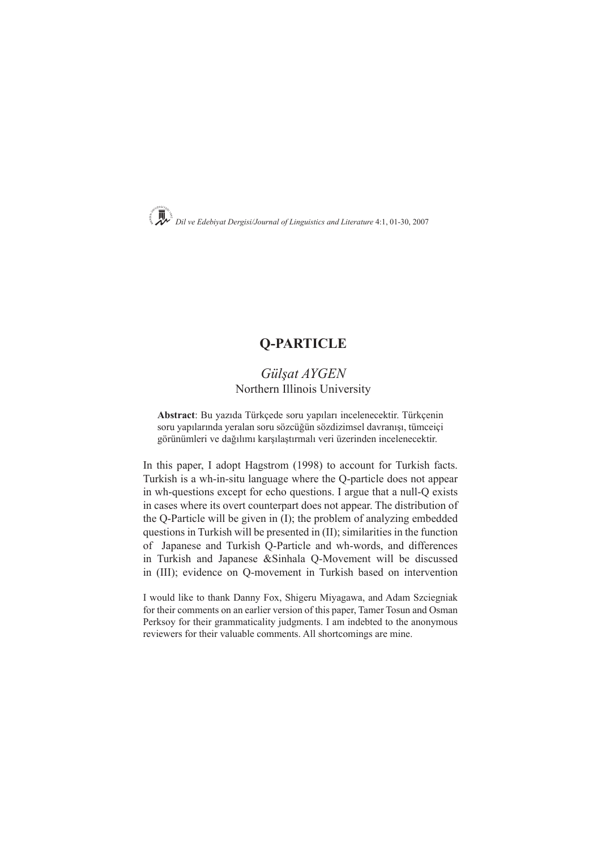

# **Q-PARTICLE**

## *Gülşat AYGEN* Northern Illinois University

**Abstract**: Bu yazıda Türkçede soru yapıları incelenecektir. Türkçenin soru yapılarında yeralan soru sözcüğün sözdizimsel davranışı, tümceiçi görünümleri ve dağılımı karşılaştırmalı veri üzerinden incelenecektir.

In this paper, I adopt Hagstrom (1998) to account for Turkish facts. Turkish is a wh-in-situ language where the Q-particle does not appear in wh-questions except for echo questions. I argue that a null-Q exists in cases where its overt counterpart does not appear. The distribution of the Q-Particle will be given in (I); the problem of analyzing embedded questions in Turkish will be presented in (II); similarities in the function of Japanese and Turkish Q-Particle and wh-words, and differences in Turkish and Japanese &Sinhala Q-Movement will be discussed in (III); evidence on Q-movement in Turkish based on intervention

I would like to thank Danny Fox, Shigeru Miyagawa, and Adam Szciegniak for their comments on an earlier version of this paper, Tamer Tosun and Osman Perksoy for their grammaticality judgments. I am indebted to the anonymous reviewers for their valuable comments. All shortcomings are mine.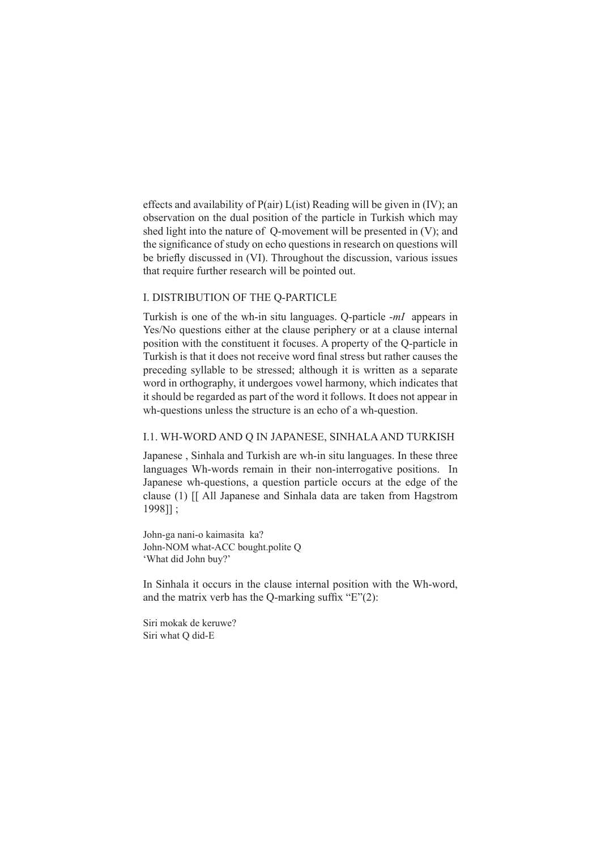effects and availability of P(air) L(ist) Reading will be given in (IV); an observation on the dual position of the particle in Turkish which may shed light into the nature of Q-movement will be presented in (V); and the significance of study on echo questions in research on questions will be briefly discussed in (VI). Throughout the discussion, various issues that require further research will be pointed out.

#### I. DISTRIBUTION OF THE Q-PARTICLE

Turkish is one of the wh-in situ languages. Q-particle -*mI* appears in Yes/No questions either at the clause periphery or at a clause internal position with the constituent it focuses. A property of the Q-particle in Turkish is that it does not receive word final stress but rather causes the preceding syllable to be stressed; although it is written as a separate word in orthography, it undergoes vowel harmony, which indicates that it should be regarded as part of the word it follows. It does not appear in wh-questions unless the structure is an echo of a wh-question.

## I.1. WH-WORD AND Q IN JAPANESE, SINHALA AND TURKISH

Japanese , Sinhala and Turkish are wh-in situ languages. In these three languages Wh-words remain in their non-interrogative positions. In Japanese wh-questions, a question particle occurs at the edge of the clause (1) [[ All Japanese and Sinhala data are taken from Hagstrom 1998]] ;

John-ga nani-o kaimasita ka? John-NOM what-ACC bought.polite Q 'What did John buy?'

In Sinhala it occurs in the clause internal position with the Wh-word, and the matrix verb has the Q-marking suffix  $E''(2)$ :

Siri mokak de keruwe? Siri what Q did-E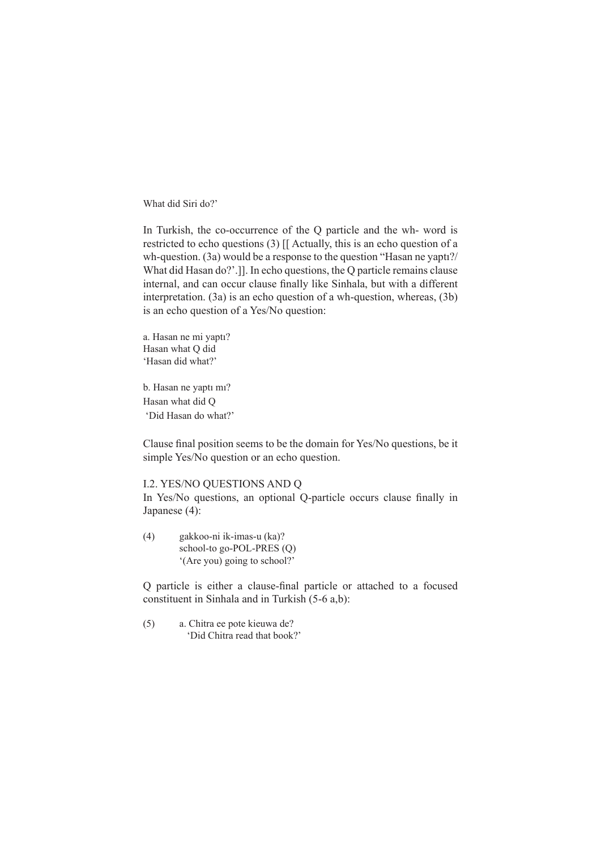What did Siri do?'

In Turkish, the co-occurrence of the Q particle and the wh- word is restricted to echo questions (3) [[ Actually, this is an echo question of a wh-question. (3a) would be a response to the question "Hasan ne yaptı?/ What did Hasan do?'.]]. In echo questions, the Q particle remains clause internal, and can occur clause finally like Sinhala, but with a different interpretation. (3a) is an echo question of a wh-question, whereas, (3b) is an echo question of a Yes/No question:

a. Hasan ne mi yaptı? Hasan what Q did 'Hasan did what?'

b. Hasan ne yaptı mı? Hasan what did Q 'Did Hasan do what?'

Clause final position seems to be the domain for Yes/No questions, be it simple Yes/No question or an echo question.

I.2. YES/NO QUESTIONS AND Q

In Yes/No questions, an optional Q-particle occurs clause finally in Japanese (4):

(4) gakkoo-ni ik-imas-u (ka)? school-to go-POL-PRES (Q) '(Are you) going to school?'

Q particle is either a clause-final particle or attached to a focused constituent in Sinhala and in Turkish (5-6 a,b):

(5) a. Chitra ee pote kieuwa de? 'Did Chitra read that book?'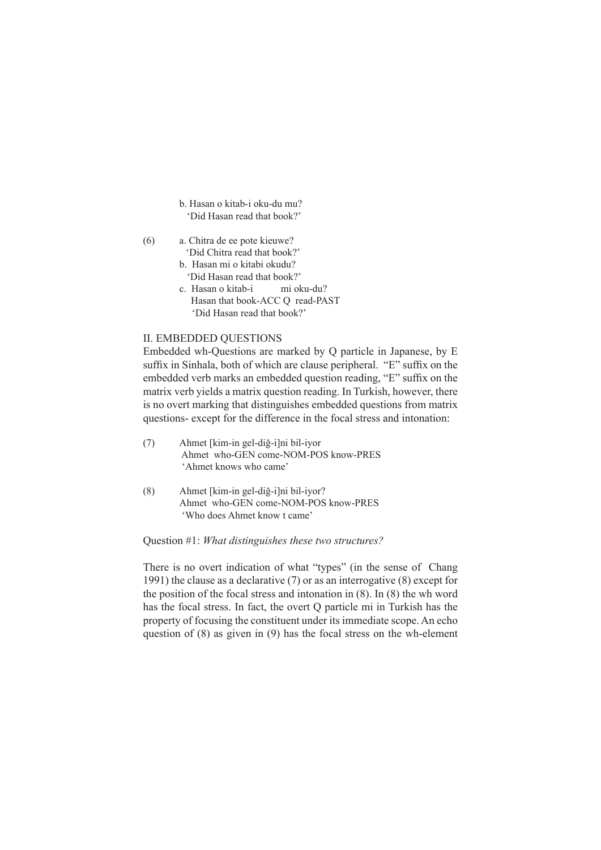- b. Hasan o kitab-i oku-du mu? 'Did Hasan read that book?'
- (6) a. Chitra de ee pote kieuwe? 'Did Chitra read that book?'
	- b. Hasan mi o kitabi okudu? 'Did Hasan read that book?'
	- c. Hasan o kitab-i mi oku-du? Hasan that book-ACC Q read-PAST 'Did Hasan read that book?'

## II. EMBEDDED QUESTIONS

Embedded wh-Questions are marked by Q particle in Japanese, by E suffix in Sinhala, both of which are clause peripheral. "E" suffix on the embedded verb marks an embedded question reading, "E" suffix on the matrix verb yields a matrix question reading. In Turkish, however, there is no overt marking that distinguishes embedded questions from matrix questions- except for the difference in the focal stress and intonation:

- (7) Ahmet [kim-in gel-diğ-i]ni bil-iyor Ahmet who-GEN come-NOM-POS know-PRES 'Ahmet knows who came'
- (8) Ahmet [kim-in gel-diğ-i]ni bil-iyor? Ahmet who-GEN come-NOM-POS know-PRES 'Who does Ahmet know t came'

### Question #1: *What distinguishes these two structures?*

There is no overt indication of what "types" (in the sense of Chang 1991) the clause as a declarative (7) or as an interrogative (8) except for the position of the focal stress and intonation in (8). In (8) the wh word has the focal stress. In fact, the overt Q particle mi in Turkish has the property of focusing the constituent under its immediate scope. An echo question of (8) as given in (9) has the focal stress on the wh-element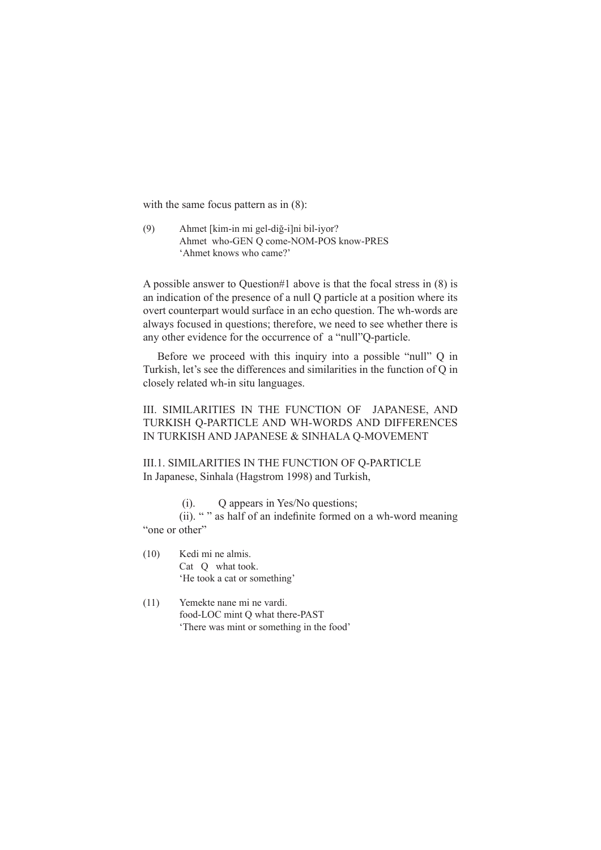with the same focus pattern as in  $(8)$ :

(9) Ahmet [kim-in mi gel-diğ-i]ni bil-iyor? Ahmet who-GEN Q come-NOM-POS know-PRES 'Ahmet knows who came?'

A possible answer to Question#1 above is that the focal stress in (8) is an indication of the presence of a null Q particle at a position where its overt counterpart would surface in an echo question. The wh-words are always focused in questions; therefore, we need to see whether there is any other evidence for the occurrence of a "null"Q-particle.

Before we proceed with this inquiry into a possible "null" Q in Turkish, let's see the differences and similarities in the function of Q in closely related wh-in situ languages.

III. SIMILARITIES IN THE FUNCTION OF JAPANESE, AND TURKISH Q-PARTICLE AND WH-WORDS AND DIFFERENCES IN TURKISH AND JAPANESE & SINHALA Q-MOVEMENT

III.1. SIMILARITIES IN THE FUNCTION OF Q-PARTICLE In Japanese, Sinhala (Hagstrom 1998) and Turkish,

(i). Q appears in Yes/No questions;

(ii). " " as half of an indefinite formed on a wh-word meaning "one or other"

- (10) Kedi mi ne almis. Cat Q what took. 'He took a cat or something'
- (11) Yemekte nane mi ne vardi. food-LOC mint Q what there-PAST 'There was mint or something in the food'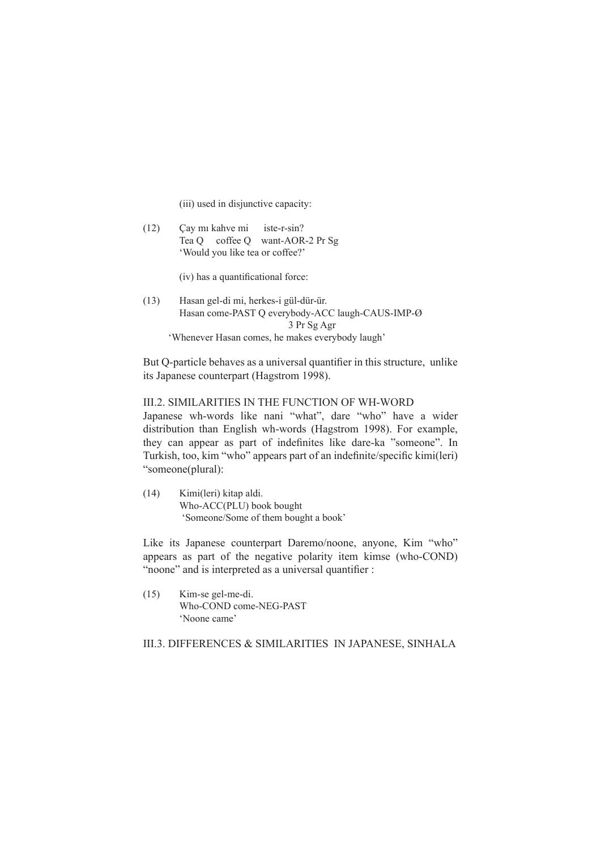(iii) used in disjunctive capacity:

(12) Çay mı kahve mi iste-r-sin? Tea Q coffee Q want-AOR-2 Pr Sg 'Would you like tea or coffee?'

(iv) has a quantificational force:

(13) Hasan gel-di mi, herkes-i gül-dür-ür. Hasan come-PAST Q everybody-ACC laugh-CAUS-IMP-Ø 3 Pr Sg Agr 'Whenever Hasan comes, he makes everybody laugh'

But Q-particle behaves as a universal quantifier in this structure, unlike its Japanese counterpart (Hagstrom 1998).

#### III.2. SIMILARITIES IN THE FUNCTION OF WH-WORD

Japanese wh-words like nani "what", dare "who" have a wider distribution than English wh-words (Hagstrom 1998). For example, they can appear as part of indefinites like dare-ka "someone". In Turkish, too, kim "who" appears part of an indefinite/specific kimi(leri) "someone(plural):

(14) Kimi(leri) kitap aldi. Who-ACC(PLU) book bought 'Someone/Some of them bought a book'

Like its Japanese counterpart Daremo/noone, anyone, Kim "who" appears as part of the negative polarity item kimse (who-COND) "noone" and is interpreted as a universal quantifier :

(15) Kim-se gel-me-di. Who-COND come-NEG-PAST 'Noone came'

III.3. DIFFERENCES & SIMILARITIES IN JAPANESE, SINHALA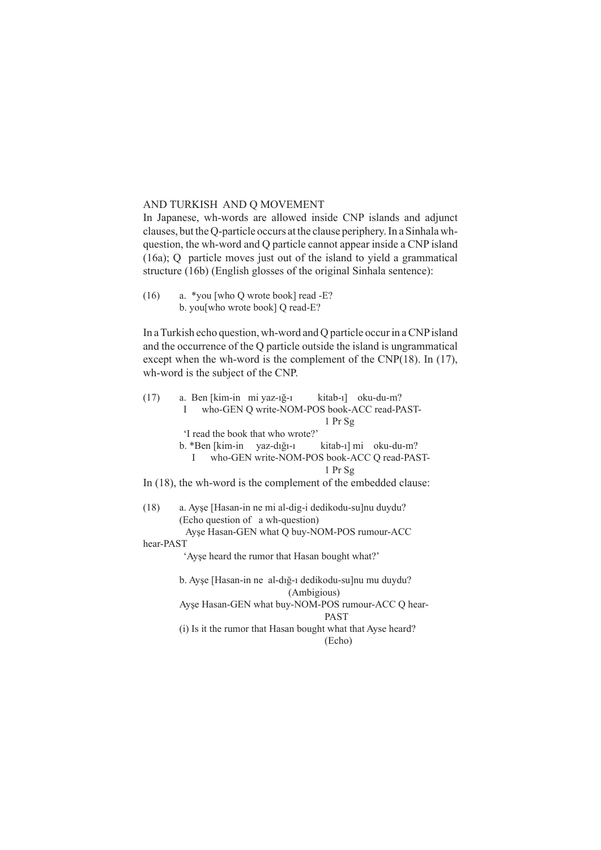### AND TURKISH AND Q MOVEMENT

In Japanese, wh-words are allowed inside CNP islands and adjunct clauses, but the Q-particle occurs at the clause periphery. In a Sinhala whquestion, the wh-word and Q particle cannot appear inside a CNP island (16a); Q particle moves just out of the island to yield a grammatical structure (16b) (English glosses of the original Sinhala sentence):

(16) a. \*you [who Q wrote book] read -E? b. you[who wrote book] Q read-E?

In a Turkish echo question, wh-word and Q particle occur in a CNP island and the occurrence of the Q particle outside the island is ungrammatical except when the wh-word is the complement of the CNP(18). In (17), wh-word is the subject of the CNP.

| (17)                                           | a. Ben [kim-in mi yaz-ığ-ı kitab-ı] oku-du-m?                     |  |  |  |
|------------------------------------------------|-------------------------------------------------------------------|--|--|--|
|                                                | who-GEN Q write-NOM-POS book-ACC read-PAST-<br>T                  |  |  |  |
|                                                | 1 Pr Sg                                                           |  |  |  |
|                                                | I read the book that who wrote?'                                  |  |  |  |
|                                                | b. *Ben [kim-in yaz-dığı-ı kitab-ı] mi oku-du-m?                  |  |  |  |
|                                                | L                                                                 |  |  |  |
|                                                | who-GEN write-NOM-POS book-ACC Q read-PAST-                       |  |  |  |
|                                                | 1 Pr Sg                                                           |  |  |  |
|                                                | In $(18)$ , the wh-word is the complement of the embedded clause: |  |  |  |
|                                                |                                                                   |  |  |  |
| (18)                                           | a. Ayşe [Hasan-in ne mi al-dig-i dedikodu-su]nu duydu?            |  |  |  |
|                                                | (Echo question of a wh-question)                                  |  |  |  |
|                                                | Ayse Hasan-GEN what Q buy-NOM-POS rumour-ACC                      |  |  |  |
|                                                |                                                                   |  |  |  |
| hear-PAST                                      |                                                                   |  |  |  |
| 'Ayse heard the rumor that Hasan bought what?' |                                                                   |  |  |  |
|                                                |                                                                   |  |  |  |
|                                                | b. Ayşe [Hasan-in ne al-dığ-ı dedikodu-su]nu mu duydu?            |  |  |  |
|                                                | (Ambigious)                                                       |  |  |  |
|                                                | Ayşe Hasan-GEN what buy-NOM-POS rumour-ACC Q hear-                |  |  |  |
|                                                |                                                                   |  |  |  |
|                                                | <b>PAST</b>                                                       |  |  |  |
|                                                | (i) Is it the rumor that Hasan bought what that Ayse heard?       |  |  |  |
|                                                | (Echo)                                                            |  |  |  |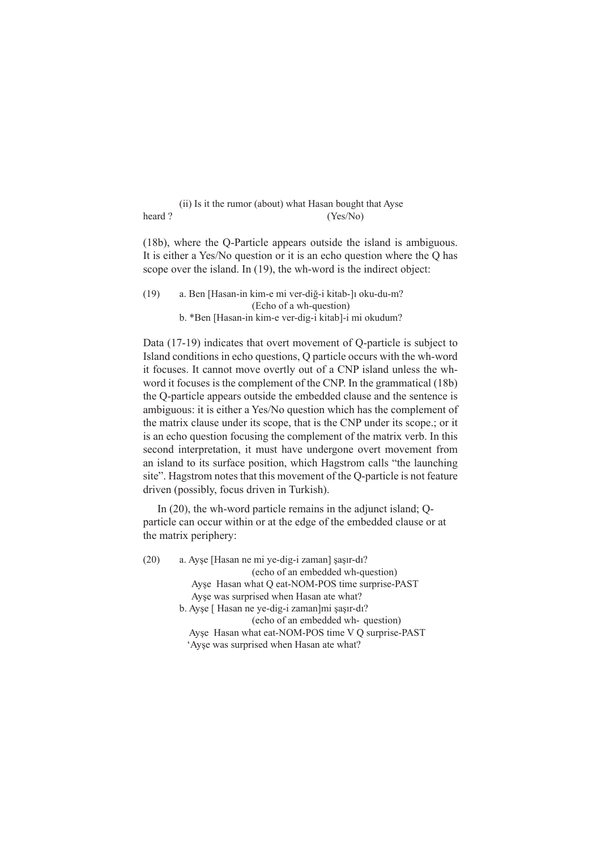(ii) Is it the rumor (about) what Hasan bought that Ayse heard ? (Yes/No)

(18b), where the Q-Particle appears outside the island is ambiguous. It is either a Yes/No question or it is an echo question where the Q has scope over the island. In (19), the wh-word is the indirect object:

(19) a. Ben [Hasan-in kim-e mi ver-diğ-i kitab-]ı oku-du-m? (Echo of a wh-question) b. \*Ben [Hasan-in kim-e ver-dig-i kitab]-i mi okudum?

Data (17-19) indicates that overt movement of Q-particle is subject to Island conditions in echo questions, Q particle occurs with the wh-word it focuses. It cannot move overtly out of a CNP island unless the whword it focuses is the complement of the CNP. In the grammatical (18b) the Q-particle appears outside the embedded clause and the sentence is ambiguous: it is either a Yes/No question which has the complement of the matrix clause under its scope, that is the CNP under its scope.; or it is an echo question focusing the complement of the matrix verb. In this second interpretation, it must have undergone overt movement from an island to its surface position, which Hagstrom calls "the launching site". Hagstrom notes that this movement of the Q-particle is not feature driven (possibly, focus driven in Turkish).

In (20), the wh-word particle remains in the adjunct island; Qparticle can occur within or at the edge of the embedded clause or at the matrix periphery:

(20) a. Ayşe [Hasan ne mi ye-dig-i zaman] şaşır-dı? (echo of an embedded wh-question) Ayşe Hasan what Q eat-NOM-POS time surprise-PAST Ayşe was surprised when Hasan ate what? b. Ayşe [ Hasan ne ye-dig-i zaman]mi şaşır-dı? (echo of an embedded wh- question) Ayşe Hasan what eat-NOM-POS time V Q surprise-PAST

'Ayşe was surprised when Hasan ate what?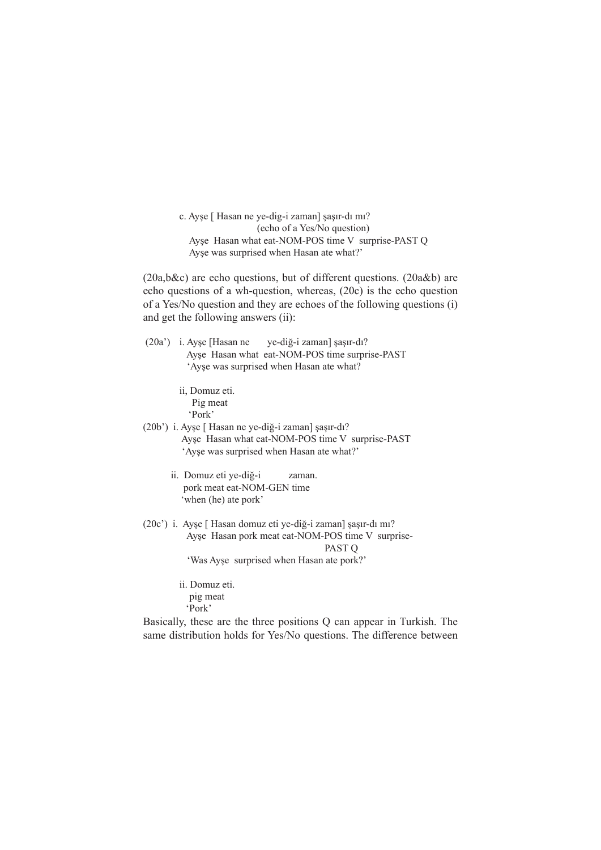c. Ayşe [ Hasan ne ye-dig-i zaman] şaşır-dı mı? (echo of a Yes/No question) Ayşe Hasan what eat-NOM-POS time V surprise-PAST Q Ayşe was surprised when Hasan ate what?'

(20a,b&c) are echo questions, but of different questions. (20a&b) are echo questions of a wh-question, whereas, (20c) is the echo question of a Yes/No question and they are echoes of the following questions (i) and get the following answers (ii):

|                                          | $(20a^{\prime})$ i. Ayse [Hasan ne] | ye-diğ-i zaman] şaşır-dı?                      |
|------------------------------------------|-------------------------------------|------------------------------------------------|
|                                          |                                     | Ayse Hasan what eat-NOM-POS time surprise-PAST |
| 'Ayse was surprised when Hasan ate what? |                                     |                                                |

ii, Domuz eti. Pig meat 'Pork'

- (20b') i. Ayşe [ Hasan ne ye-diğ-i zaman] şaşır-dı? Ayşe Hasan what eat-NOM-POS time V surprise-PAST 'Ayşe was surprised when Hasan ate what?'
	- ii. Domuz eti ye-diğ-i zaman. pork meat eat-NOM-GEN time 'when (he) ate pork'
- (20c') i. Ayşe [ Hasan domuz eti ye-diğ-i zaman] şaşır-dı mı? Ayşe Hasan pork meat eat-NOM-POS time V surprise-PAST Q 'Was Ayşe surprised when Hasan ate pork?'
	- ii. Domuz eti. pig meat 'Pork'

Basically, these are the three positions Q can appear in Turkish. The same distribution holds for Yes/No questions. The difference between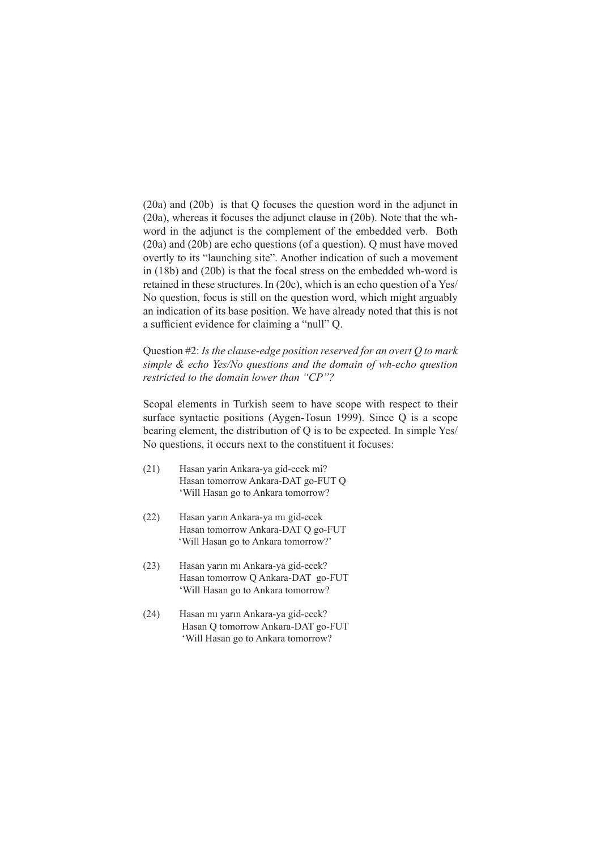(20a) and (20b) is that Q focuses the question word in the adjunct in (20a), whereas it focuses the adjunct clause in (20b). Note that the whword in the adjunct is the complement of the embedded verb. Both (20a) and (20b) are echo questions (of a question). Q must have moved overtly to its "launching site". Another indication of such a movement in (18b) and (20b) is that the focal stress on the embedded wh-word is retained in these structures.In (20c), which is an echo question of a Yes/ No question, focus is still on the question word, which might arguably an indication of its base position. We have already noted that this is not a sufficient evidence for claiming a "null" Q.

Question #2: *Is the clause-edge position reserved for an overt Q to mark simple & echo Yes/No questions and the domain of wh-echo question restricted to the domain lower than "CP"?*

Scopal elements in Turkish seem to have scope with respect to their surface syntactic positions (Aygen-Tosun 1999). Since Q is a scope bearing element, the distribution of Q is to be expected. In simple Yes/ No questions, it occurs next to the constituent it focuses:

- (21) Hasan yarin Ankara-ya gid-ecek mi? Hasan tomorrow Ankara-DAT go-FUT Q 'Will Hasan go to Ankara tomorrow?
- (22) Hasan yarın Ankara-ya mı gid-ecek Hasan tomorrow Ankara-DAT Q go-FUT 'Will Hasan go to Ankara tomorrow?'
- (23) Hasan yarın mı Ankara-ya gid-ecek? Hasan tomorrow Q Ankara-DAT go-FUT 'Will Hasan go to Ankara tomorrow?
- (24) Hasan mı yarın Ankara-ya gid-ecek? Hasan Q tomorrow Ankara-DAT go-FUT 'Will Hasan go to Ankara tomorrow?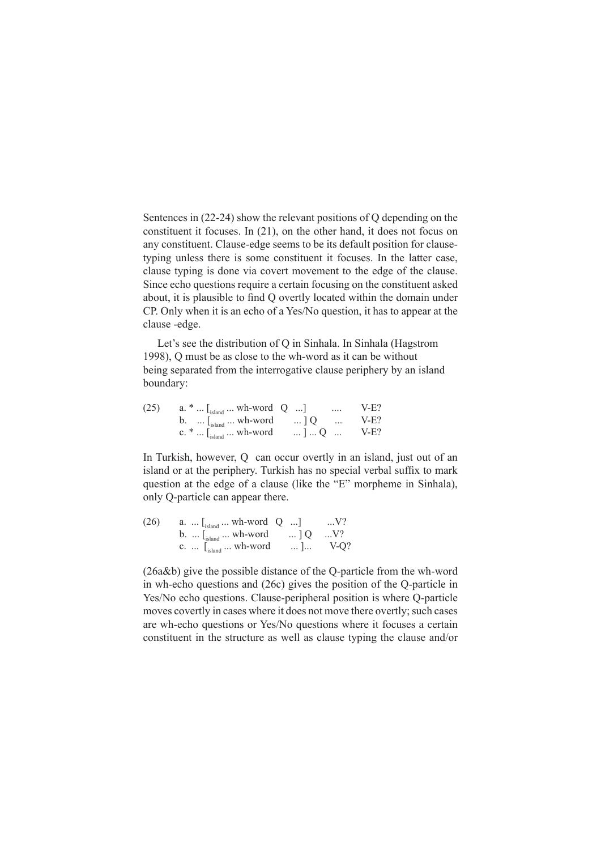Sentences in (22-24) show the relevant positions of Q depending on the constituent it focuses. In (21), on the other hand, it does not focus on any constituent. Clause-edge seems to be its default position for clausetyping unless there is some constituent it focuses. In the latter case, clause typing is done via covert movement to the edge of the clause. Since echo questions require a certain focusing on the constituent asked about, it is plausible to find Q overtly located within the domain under CP. Only when it is an echo of a Yes/No question, it has to appear at the clause -edge.

Let's see the distribution of Q in Sinhala. In Sinhala (Hagstrom 1998), Q must be as close to the wh-word as it can be without being separated from the interrogative clause periphery by an island boundary:

| (25) | a. $*$ [ <sub>island</sub> wh-word Q ]                                                                                                          |  | $\cdots$             | $V-F?$  |
|------|-------------------------------------------------------------------------------------------------------------------------------------------------|--|----------------------|---------|
|      | b. $\ldots$ $\lfloor_{\text{island}} \ldots$ wh-word $\ldots$ ] Q                                                                               |  | $\sim$ $\sim$ $\sim$ | $V-E$ ? |
|      | c. * $\left[\begin{array}{ccc} 1 & 0 \\ 0 & 1 \end{array}\right]$ Wh-word $\left[\begin{array}{ccc} 0 & 0 \\ 0 & 1 \end{array}\right]$ $Q$ V-E? |  |                      |         |

In Turkish, however, Q can occur overtly in an island, just out of an island or at the periphery. Turkish has no special verbal suffix to mark question at the edge of a clause (like the "E" morpheme in Sinhala), only Q-particle can appear there.

| (26) | a. $\lfloor_{\text{island}}$ wh-word Q ]                                                       | $\ldots V?$ |
|------|------------------------------------------------------------------------------------------------|-------------|
|      | b. $\lfloor_{\text{island}} \dots \text{wh-word} \rfloor$ $\lfloor Q \dots \text{V} \rfloor$ ? |             |
|      | c. $\left[\begin{smallmatrix} 1 \\ 1 \end{smallmatrix}\right]$ and $\cdots$ wh-word            | ] $V-Q?$    |

(26a&b) give the possible distance of the Q-particle from the wh-word in wh-echo questions and (26c) gives the position of the Q-particle in Yes/No echo questions. Clause-peripheral position is where Q-particle moves covertly in cases where it does not move there overtly; such cases are wh-echo questions or Yes/No questions where it focuses a certain constituent in the structure as well as clause typing the clause and/or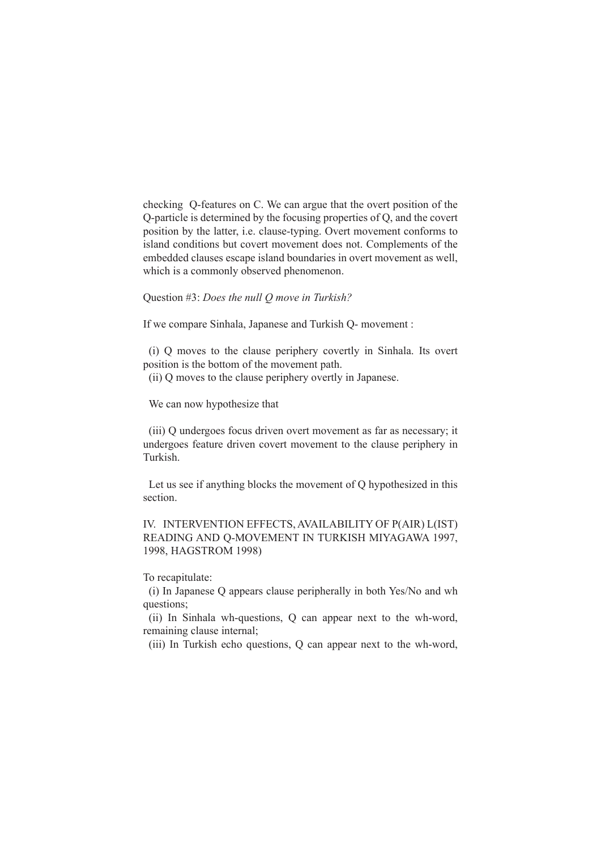checking Q-features on C. We can argue that the overt position of the Q-particle is determined by the focusing properties of Q, and the covert position by the latter, i.e. clause-typing. Overt movement conforms to island conditions but covert movement does not. Complements of the embedded clauses escape island boundaries in overt movement as well, which is a commonly observed phenomenon.

Question #3: *Does the null Q move in Turkish?*

If we compare Sinhala, Japanese and Turkish Q- movement :

(i) Q moves to the clause periphery covertly in Sinhala. Its overt position is the bottom of the movement path.

(ii) Q moves to the clause periphery overtly in Japanese.

We can now hypothesize that

(iii) Q undergoes focus driven overt movement as far as necessary; it undergoes feature driven covert movement to the clause periphery in Turkish.

Let us see if anything blocks the movement of Q hypothesized in this section.

IV. INTERVENTION EFFECTS, AVAILABILITY OF P(AIR) L(IST) READING AND Q-MOVEMENT IN TURKISH MIYAGAWA 1997, 1998, HAGSTROM 1998)

To recapitulate:

(i) In Japanese Q appears clause peripherally in both Yes/No and wh questions;

(ii) In Sinhala wh-questions, Q can appear next to the wh-word, remaining clause internal;

(iii) In Turkish echo questions, Q can appear next to the wh-word,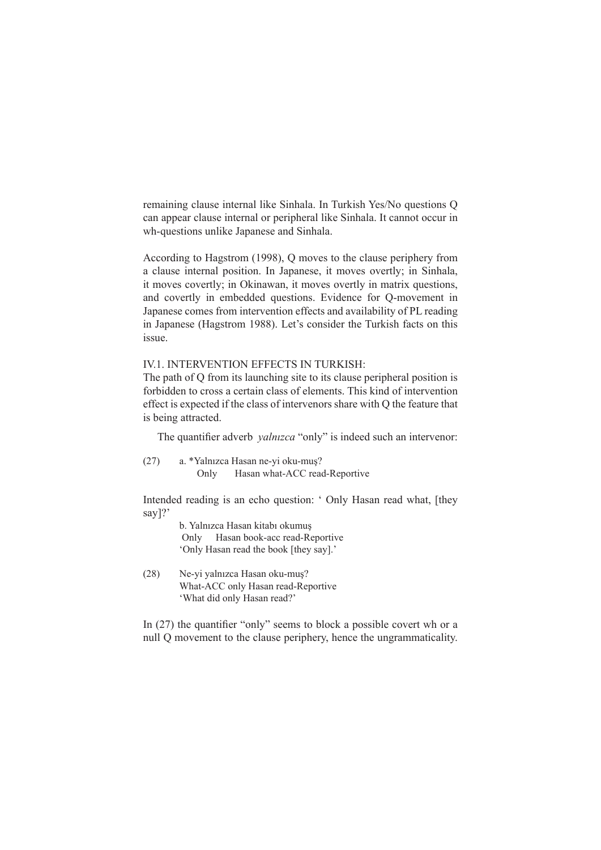remaining clause internal like Sinhala. In Turkish Yes/No questions Q can appear clause internal or peripheral like Sinhala. It cannot occur in wh-questions unlike Japanese and Sinhala.

According to Hagstrom (1998), Q moves to the clause periphery from a clause internal position. In Japanese, it moves overtly; in Sinhala, it moves covertly; in Okinawan, it moves overtly in matrix questions, and covertly in embedded questions. Evidence for Q-movement in Japanese comes from intervention effects and availability of PL reading in Japanese (Hagstrom 1988). Let's consider the Turkish facts on this issue.

## IV.1. INTERVENTION EFFECTS IN TURKISH:

The path of Q from its launching site to its clause peripheral position is forbidden to cross a certain class of elements. This kind of intervention effect is expected if the class of intervenors share with Q the feature that is being attracted.

The quantifier adverb *yalnızca* "only" is indeed such an intervenor:

(27) a. \*Yalnızca Hasan ne-yi oku-muş? Only Hasan what-ACC read-Reportive

Intended reading is an echo question: ' Only Hasan read what, [they say]?'

> b. Yalnızca Hasan kitabı okumuş Only Hasan book-acc read-Reportive 'Only Hasan read the book [they say].'

(28) Ne-yi yalnızca Hasan oku-muş? What-ACC only Hasan read-Reportive 'What did only Hasan read?'

In (27) the quantifier "only" seems to block a possible covert wh or a null Q movement to the clause periphery, hence the ungrammaticality.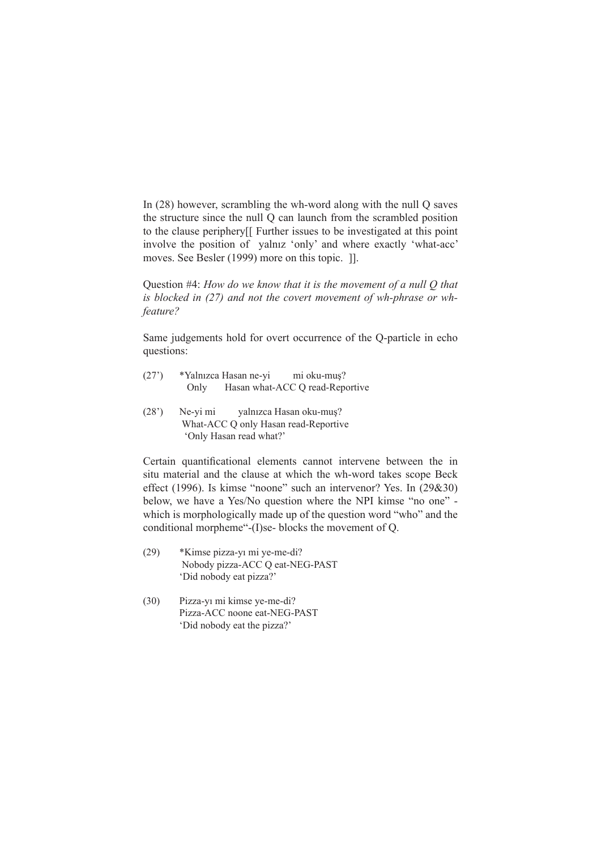In (28) however, scrambling the wh-word along with the null Q saves the structure since the null Q can launch from the scrambled position to the clause periphery[[ Further issues to be investigated at this point involve the position of yalnız 'only' and where exactly 'what-acc' moves. See Besler (1999) more on this topic. ]].

Question #4: *How do we know that it is the movement of a null Q that is blocked in (27) and not the covert movement of wh-phrase or whfeature?*

Same judgements hold for overt occurrence of the Q-particle in echo questions:

- (27') \*Yalnızca Hasan ne-yi mi oku-muş? Only Hasan what-ACC Q read-Reportive
- (28') Ne-yi mi yalnızca Hasan oku-muş? What-ACC Q only Hasan read-Reportive 'Only Hasan read what?'

Certain quantificational elements cannot intervene between the in situ material and the clause at which the wh-word takes scope Beck effect (1996). Is kimse "noone" such an intervenor? Yes. In (29&30) below, we have a Yes/No question where the NPI kimse "no one" which is morphologically made up of the question word "who" and the conditional morpheme"-(I)se- blocks the movement of Q.

- (29) \*Kimse pizza-yı mi ye-me-di? Nobody pizza-ACC Q eat-NEG-PAST 'Did nobody eat pizza?'
- (30) Pizza-yı mi kimse ye-me-di? Pizza-ACC noone eat-NEG-PAST 'Did nobody eat the pizza?'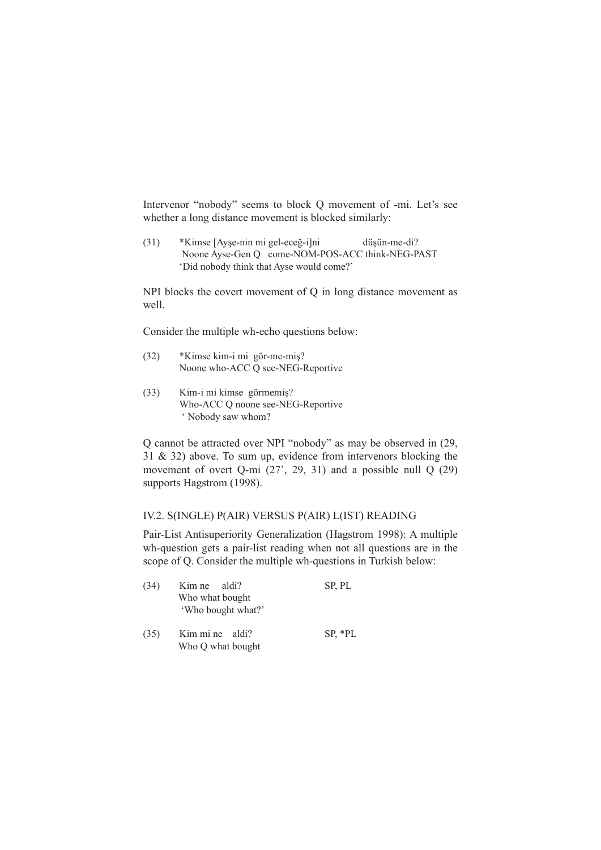Intervenor "nobody" seems to block Q movement of -mi. Let's see whether a long distance movement is blocked similarly:

(31) \*Kimse [Ayşe-nin mi gel-eceğ-i]ni düşün-me-di? Noone Ayse-Gen Q come-NOM-POS-ACC think-NEG-PAST 'Did nobody think that Ayse would come?'

NPI blocks the covert movement of Q in long distance movement as well.

Consider the multiple wh-echo questions below:

- (32) \*Kimse kim-i mi gör-me-miş? Noone who-ACC Q see-NEG-Reportive
- (33) Kim-i mi kimse görmemiş? Who-ACC Q noone see-NEG-Reportive ' Nobody saw whom?

Q cannot be attracted over NPI "nobody" as may be observed in (29, 31 & 32) above. To sum up, evidence from intervenors blocking the movement of overt Q-mi  $(27', 29, 31)$  and a possible null Q  $(29)$ supports Hagstrom (1998).

## IV.2. S(INGLE) P(AIR) VERSUS P(AIR) L(IST) READING

Pair-List Antisuperiority Generalization (Hagstrom 1998): A multiple wh-question gets a pair-list reading when not all questions are in the scope of Q. Consider the multiple wh-questions in Turkish below:

| (34) | Kim ne aldi?                          | SP, PL    |
|------|---------------------------------------|-----------|
|      | Who what bought<br>'Who bought what?' |           |
| (35) | Kim mi ne aldi?<br>Who Q what bought  | $SP, *PL$ |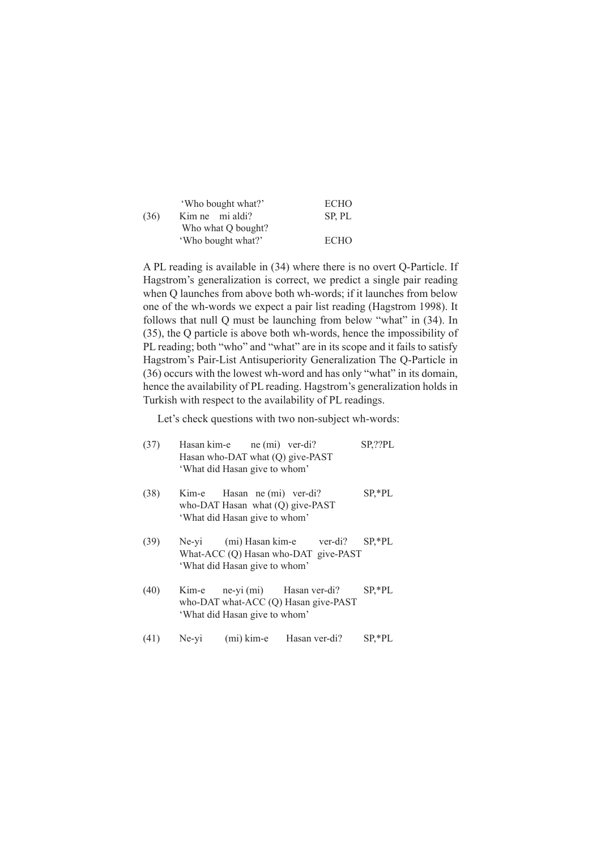|      | 'Who bought what?' | <b>ECHO</b> |
|------|--------------------|-------------|
| (36) | Kim ne mi aldi?    | SP, PL      |
|      | Who what Q bought? |             |
|      | 'Who bought what?' | <b>ECHO</b> |

A PL reading is available in (34) where there is no overt Q-Particle. If Hagstrom's generalization is correct, we predict a single pair reading when Q launches from above both wh-words; if it launches from below one of the wh-words we expect a pair list reading (Hagstrom 1998). It follows that null Q must be launching from below "what" in (34). In (35), the Q particle is above both wh-words, hence the impossibility of PL reading; both "who" and "what" are in its scope and it fails to satisfy Hagstrom's Pair-List Antisuperiority Generalization The Q-Particle in (36) occurs with the lowest wh-word and has only "what" in its domain, hence the availability of PL reading. Hagstrom's generalization holds in Turkish with respect to the availability of PL readings.

Let's check questions with two non-subject wh-words:

| (37) |       | Hasan kim-e ne (mi) ver-di?<br>Hasan who-DAT what (Q) give-PAST<br>'What did Hasan give to whom' |                                                                        | SP,??PL   |
|------|-------|--------------------------------------------------------------------------------------------------|------------------------------------------------------------------------|-----------|
| (38) |       | Kim-e Hasan ne (mi) ver-di?<br>'What did Hasan give to whom'                                     | who-DAT Hasan what $(Q)$ give-PAST                                     | $SP, *PL$ |
| (39) |       | 'What did Hasan give to whom'                                                                    | Ne-yi (mi) Hasan kim-e ver-di?<br>What-ACC (Q) Hasan who-DAT give-PAST | $SP, *PL$ |
| (40) | Kim-e | 'What did Hasan give to whom'                                                                    | ne-yi (mi) Hasan ver-di?<br>who-DAT what-ACC (Q) Hasan give-PAST       | $SP, *PL$ |
| (41) | Ne-vi | $(i)$ kim-e                                                                                      | Hasan ver-di?                                                          | SP,*PL    |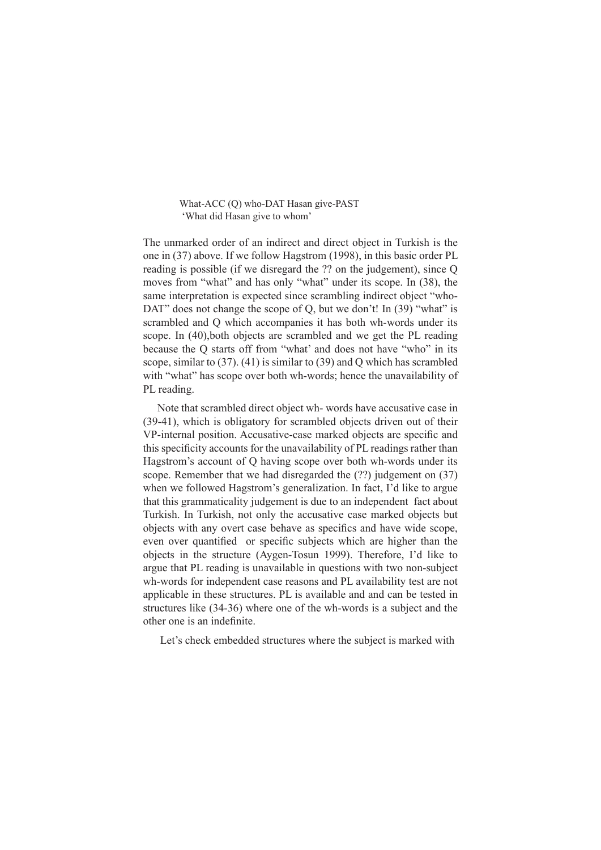#### What-ACC (Q) who-DAT Hasan give-PAST 'What did Hasan give to whom'

The unmarked order of an indirect and direct object in Turkish is the one in (37) above. If we follow Hagstrom (1998), in this basic order PL reading is possible (if we disregard the ?? on the judgement), since Q moves from "what" and has only "what" under its scope. In (38), the same interpretation is expected since scrambling indirect object "who-DAT" does not change the scope of Q, but we don't! In (39) "what" is scrambled and Q which accompanies it has both wh-words under its scope. In (40),both objects are scrambled and we get the PL reading because the Q starts off from "what' and does not have "who" in its scope, similar to (37). (41) is similar to (39) and Q which has scrambled with "what" has scope over both wh-words; hence the unavailability of PL reading.

Note that scrambled direct object wh- words have accusative case in (39-41), which is obligatory for scrambled objects driven out of their VP-internal position. Accusative-case marked objects are specific and this specificity accounts for the unavailability of PL readings rather than Hagstrom's account of Q having scope over both wh-words under its scope. Remember that we had disregarded the (??) judgement on (37) when we followed Hagstrom's generalization. In fact, I'd like to argue that this grammaticality judgement is due to an independent fact about Turkish. In Turkish, not only the accusative case marked objects but objects with any overt case behave as specifics and have wide scope, even over quantified or specific subjects which are higher than the objects in the structure (Aygen-Tosun 1999). Therefore, I'd like to argue that PL reading is unavailable in questions with two non-subject wh-words for independent case reasons and PL availability test are not applicable in these structures. PL is available and and can be tested in structures like (34-36) where one of the wh-words is a subject and the other one is an indefinite.

Let's check embedded structures where the subject is marked with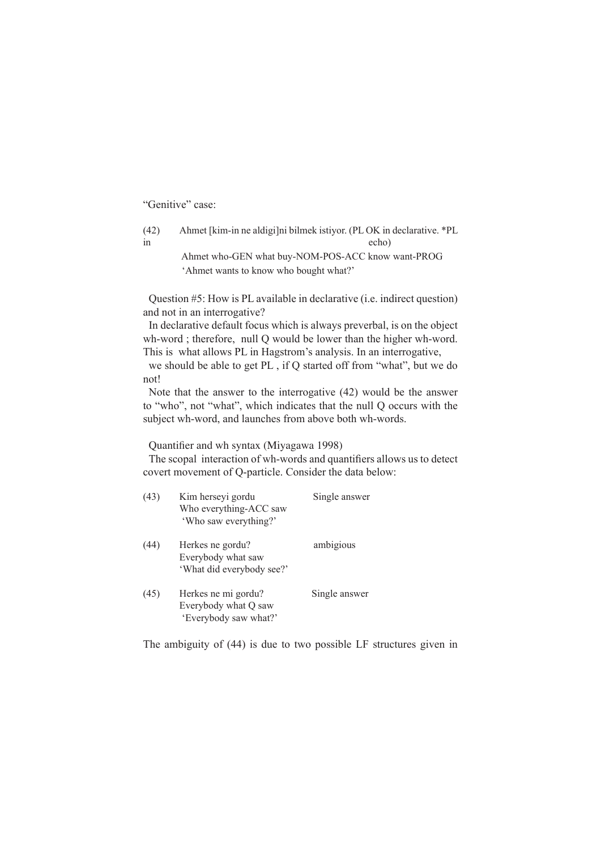"Genitive" case:

(42) Ahmet [kim-in ne aldigi]ni bilmek istiyor. (PL OK in declarative. \*PL in echo)

> Ahmet who-GEN what buy-NOM-POS-ACC know want-PROG 'Ahmet wants to know who bought what?'

Question #5: How is PL available in declarative (i.e. indirect question) and not in an interrogative?

In declarative default focus which is always preverbal, is on the object wh-word ; therefore, null Q would be lower than the higher wh-word. This is what allows PL in Hagstrom's analysis. In an interrogative,

we should be able to get PL , if Q started off from "what", but we do not!

Note that the answer to the interrogative (42) would be the answer to "who", not "what", which indicates that the null Q occurs with the subject wh-word, and launches from above both wh-words.

Quantifier and wh syntax (Miyagawa 1998)

The scopal interaction of wh-words and quantifiers allows us to detect covert movement of Q-particle. Consider the data below:

| (43) | Kim herseyi gordu<br>Who everything-ACC saw<br>'Who saw everything?' | Single answer |
|------|----------------------------------------------------------------------|---------------|
| (44) | Herkes ne gordu?<br>Everybody what saw<br>'What did everybody see?'  | ambigious     |
| (45) | Herkes ne mi gordu?<br>Everybody what Q saw<br>'Everybody saw what?' | Single answer |

The ambiguity of (44) is due to two possible LF structures given in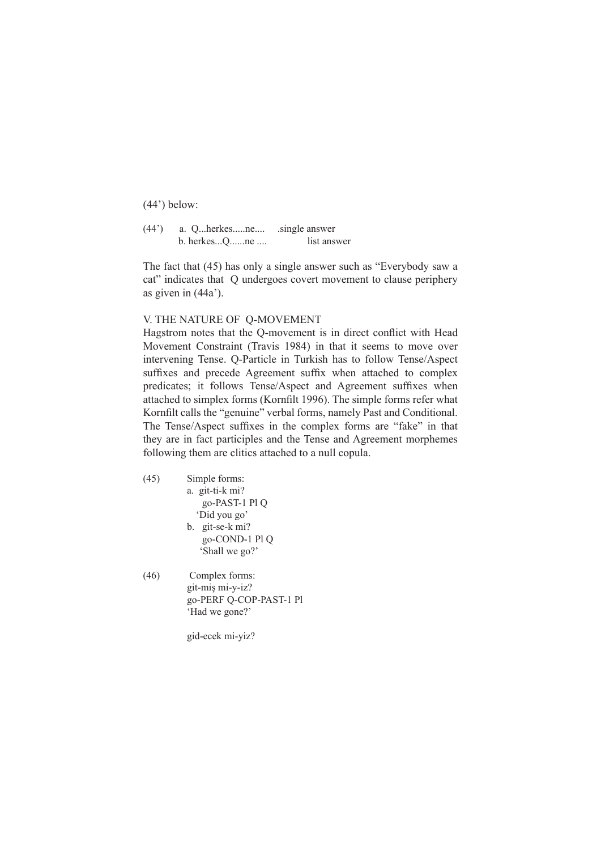(44') below:

(44') a. Q...herkes.....ne.... .single answer b. herkes...Q......ne .... list answer

The fact that (45) has only a single answer such as "Everybody saw a cat" indicates that Q undergoes covert movement to clause periphery as given in (44a').

## V. THE NATURE OF Q-MOVEMENT

Hagstrom notes that the Q-movement is in direct conflict with Head Movement Constraint (Travis 1984) in that it seems to move over intervening Tense. Q-Particle in Turkish has to follow Tense/Aspect suffixes and precede Agreement suffix when attached to complex predicates; it follows Tense/Aspect and Agreement suffixes when attached to simplex forms (Kornfilt 1996). The simple forms refer what Kornfilt calls the "genuine" verbal forms, namely Past and Conditional. The Tense/Aspect suffixes in the complex forms are "fake" in that they are in fact participles and the Tense and Agreement morphemes following them are clitics attached to a null copula.

- (45) Simple forms: a. git-ti-k mi? go-PAST-1 Pl Q 'Did you go' b. git-se-k mi? go-COND-1 Pl Q 'Shall we go?'
- (46) Complex forms: git-miş mi-y-iz? go-PERF Q-COP-PAST-1 Pl 'Had we gone?'

gid-ecek mi-yiz?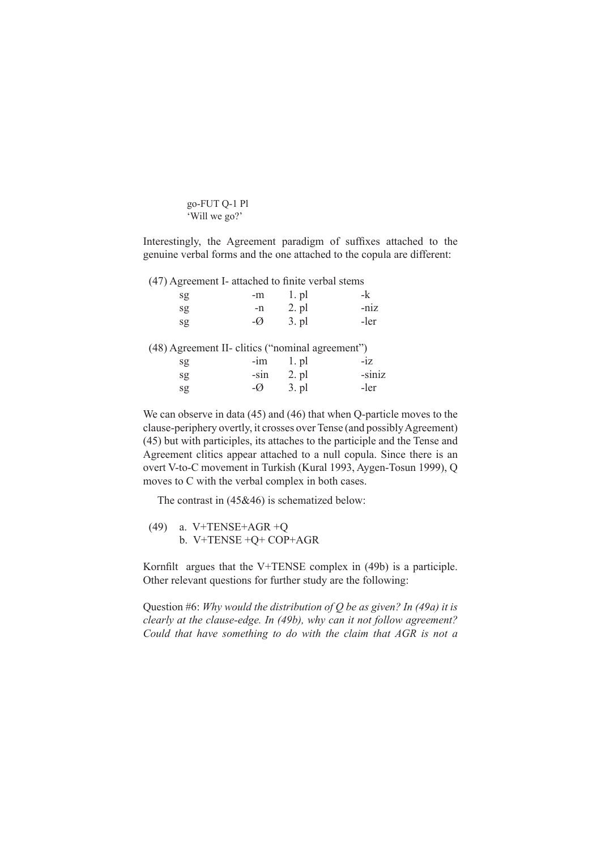go-FUT Q-1 Pl 'Will we go?'

Interestingly, the Agreement paradigm of suffixes attached to the genuine verbal forms and the one attached to the copula are different:

(47) Agreement I- attached to finite verbal stems

| sg | $-m$           | $1.$ pl         | $-k$ |
|----|----------------|-----------------|------|
| sg | -n             | $2. \text{ pl}$ | -niz |
| sg | $-\varnothing$ | $3. \text{pl}$  | -ler |

(48) Agreement II- clitics ("nominal agreement")

| sg | $-im$  | $l$ . pl | $-iz$  |
|----|--------|----------|--------|
| sg | $-S1n$ | 2. pl    | -siniz |
| sg | -Ø     | 3. pl    | -ler   |

We can observe in data (45) and (46) that when Q-particle moves to the clause-periphery overtly, it crosses over Tense (and possibly Agreement) (45) but with participles, its attaches to the participle and the Tense and Agreement clitics appear attached to a null copula. Since there is an overt V-to-C movement in Turkish (Kural 1993, Aygen-Tosun 1999), Q moves to C with the verbal complex in both cases.

The contrast in (45&46) is schematized below:

(49) a. V+TENSE+AGR +Q b. V+TENSE +Q+ COP+AGR

Kornfilt argues that the V+TENSE complex in (49b) is a participle. Other relevant questions for further study are the following:

Question #6: *Why would the distribution of Q be as given? In (49a) it is clearly at the clause-edge. In (49b), why can it not follow agreement? Could that have something to do with the claim that AGR is not a*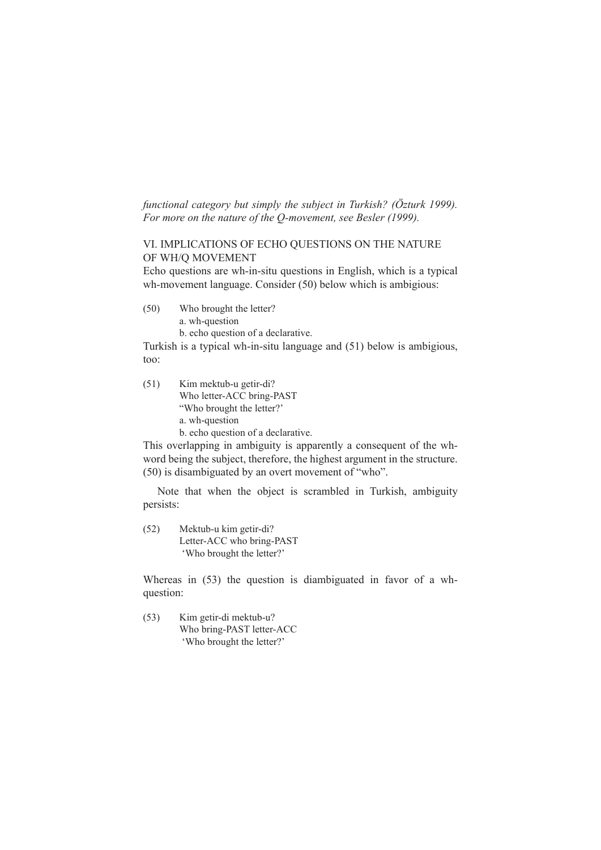*functional category but simply the subject in Turkish? (Özturk 1999). For more on the nature of the Q-movement, see Besler (1999).*

## VI. IMPLICATIONS OF ECHO QUESTIONS ON THE NATURE OF WH/Q MOVEMENT

Echo questions are wh-in-situ questions in English, which is a typical wh-movement language. Consider (50) below which is ambigious:

(50) Who brought the letter?

a. wh-question

b. echo question of a declarative.

Turkish is a typical wh-in-situ language and (51) below is ambigious, too:

(51) Kim mektub-u getir-di? Who letter-ACC bring-PAST "Who brought the letter?' a. wh-question b. echo question of a declarative.

This overlapping in ambiguity is apparently a consequent of the whword being the subject, therefore, the highest argument in the structure. (50) is disambiguated by an overt movement of "who".

Note that when the object is scrambled in Turkish, ambiguity persists:

(52) Mektub-u kim getir-di? Letter-ACC who bring-PAST 'Who brought the letter?'

Whereas in (53) the question is diambiguated in favor of a whquestion:

(53) Kim getir-di mektub-u? Who bring-PAST letter-ACC 'Who brought the letter?'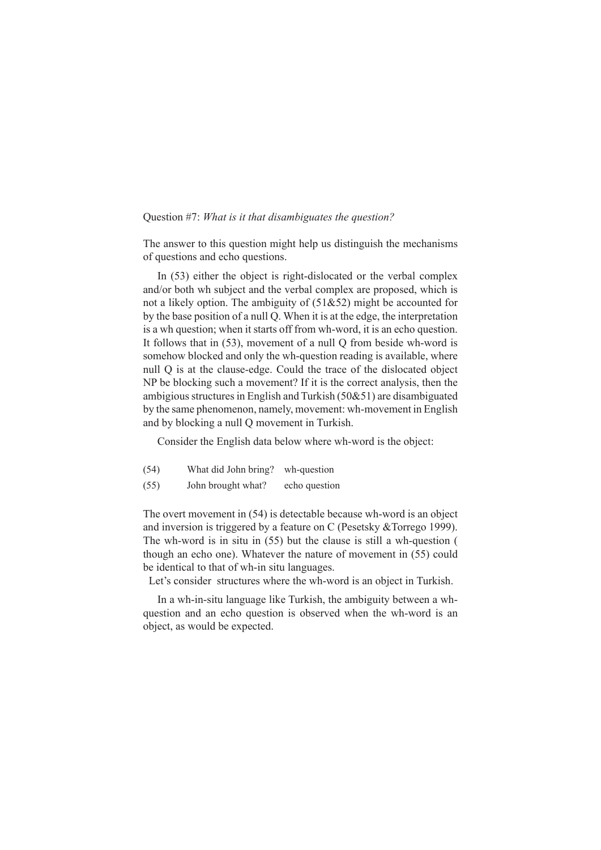#### Question #7: *What is it that disambiguates the question?*

The answer to this question might help us distinguish the mechanisms of questions and echo questions.

In (53) either the object is right-dislocated or the verbal complex and/or both wh subject and the verbal complex are proposed, which is not a likely option. The ambiguity of (51&52) might be accounted for by the base position of a null Q. When it is at the edge, the interpretation is a wh question; when it starts off from wh-word, it is an echo question. It follows that in (53), movement of a null Q from beside wh-word is somehow blocked and only the wh-question reading is available, where null Q is at the clause-edge. Could the trace of the dislocated object NP be blocking such a movement? If it is the correct analysis, then the ambigious structures in English and Turkish (50&51) are disambiguated by the same phenomenon, namely, movement: wh-movement in English and by blocking a null Q movement in Turkish.

Consider the English data below where wh-word is the object:

- (54) What did John bring? wh-question
- (55) John brought what? echo question

The overt movement in (54) is detectable because wh-word is an object and inversion is triggered by a feature on C (Pesetsky &Torrego 1999). The wh-word is in situ in (55) but the clause is still a wh-question ( though an echo one). Whatever the nature of movement in (55) could be identical to that of wh-in situ languages.

Let's consider structures where the wh-word is an object in Turkish.

In a wh-in-situ language like Turkish, the ambiguity between a whquestion and an echo question is observed when the wh-word is an object, as would be expected.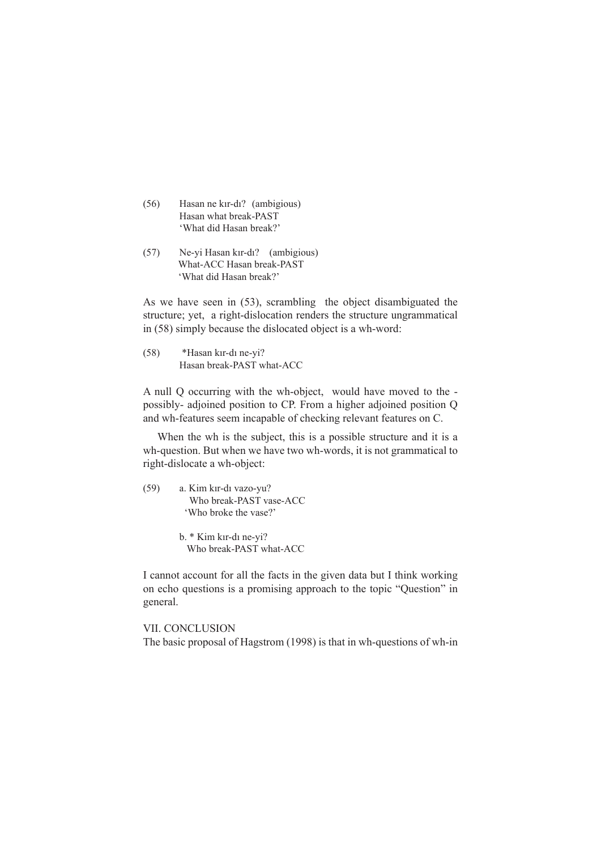- (56) Hasan ne kır-dı? (ambigious) Hasan what break-PAST 'What did Hasan break?'
- (57) Ne-yi Hasan kır-dı? (ambigious) What-ACC Hasan break-PAST 'What did Hasan break?'

As we have seen in (53), scrambling the object disambiguated the structure; yet, a right-dislocation renders the structure ungrammatical in (58) simply because the dislocated object is a wh-word:

(58) \*Hasan kır-dı ne-yi? Hasan break-PAST what-ACC

A null Q occurring with the wh-object, would have moved to the possibly- adjoined position to CP. From a higher adjoined position Q and wh-features seem incapable of checking relevant features on C.

When the wh is the subject, this is a possible structure and it is a wh-question. But when we have two wh-words, it is not grammatical to right-dislocate a wh-object:

(59) a. Kim kır-dı vazo-yu? Who break-PAST vase-ACC 'Who broke the vase?'

> b. \* Kim kır-dı ne-yi? Who break-PAST what-ACC

I cannot account for all the facts in the given data but I think working on echo questions is a promising approach to the topic "Question" in general.

## VII. CONCLUSION

The basic proposal of Hagstrom (1998) is that in wh-questions of wh-in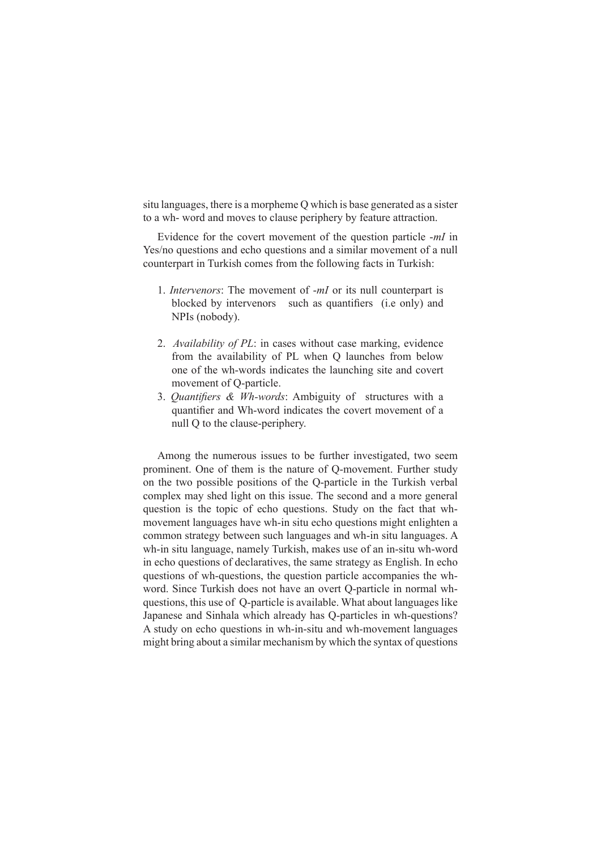situ languages, there is a morpheme Q which is base generated as a sister to a wh- word and moves to clause periphery by feature attraction.

Evidence for the covert movement of the question particle -*mI* in Yes/no questions and echo questions and a similar movement of a null counterpart in Turkish comes from the following facts in Turkish:

- 1. *Intervenors*: The movement of -*mI* or its null counterpart is blocked by intervenors such as quantifiers (i.e only) and NPIs (nobody).
- 2. *Availability of PL*: in cases without case marking, evidence from the availability of PL when Q launches from below one of the wh-words indicates the launching site and covert movement of Q-particle.
- 3. *Quantifiers & Wh-words*: Ambiguity of structures with a quantifier and Wh-word indicates the covert movement of a null Q to the clause-periphery.

Among the numerous issues to be further investigated, two seem prominent. One of them is the nature of Q-movement. Further study on the two possible positions of the Q-particle in the Turkish verbal complex may shed light on this issue. The second and a more general question is the topic of echo questions. Study on the fact that whmovement languages have wh-in situ echo questions might enlighten a common strategy between such languages and wh-in situ languages. A wh-in situ language, namely Turkish, makes use of an in-situ wh-word in echo questions of declaratives, the same strategy as English. In echo questions of wh-questions, the question particle accompanies the whword. Since Turkish does not have an overt Q-particle in normal whquestions, this use of Q-particle is available. What about languages like Japanese and Sinhala which already has Q-particles in wh-questions? A study on echo questions in wh-in-situ and wh-movement languages might bring about a similar mechanism by which the syntax of questions